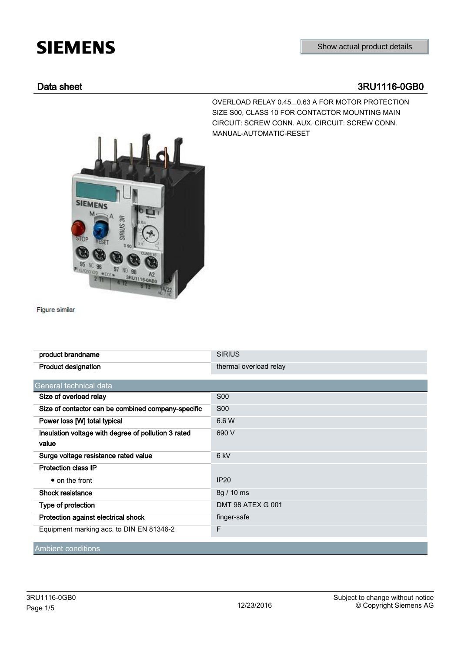## **SIEMENS**

OVERLOAD RELAY 0.45...0.63 A FOR MOTOR PROTECTION SIZE S00, CLASS 10 FOR CONTACTOR MOUNTING MAIN CIRCUIT: SCREW CONN. AUX. CIRCUIT: SCREW CONN.

MANUAL-AUTOMATIC-RESET

## Data sheet 3RU1116-0GB0

SIEMENS M Ä **RESSIN** 95 97 98 EOTA **3RU1116-0** 2.78

Figure similar

| product brandname                                            | <b>SIRIUS</b>            |  |  |  |
|--------------------------------------------------------------|--------------------------|--|--|--|
| <b>Product designation</b>                                   | thermal overload relay   |  |  |  |
| General technical data                                       |                          |  |  |  |
| Size of overload relay                                       | <b>S00</b>               |  |  |  |
| Size of contactor can be combined company-specific           | <b>S00</b>               |  |  |  |
| Power loss [W] total typical                                 | 6.6 W                    |  |  |  |
| Insulation voltage with degree of pollution 3 rated<br>value | 690 V                    |  |  |  |
| Surge voltage resistance rated value                         | 6 <sub>kV</sub>          |  |  |  |
| Protection class IP                                          |                          |  |  |  |
| • on the front                                               | <b>IP20</b>              |  |  |  |
| Shock resistance                                             | 8g / 10 ms               |  |  |  |
| Type of protection                                           | <b>DMT 98 ATEX G 001</b> |  |  |  |
| Protection against electrical shock                          | finger-safe              |  |  |  |
| Equipment marking acc. to DIN EN 81346-2                     | F                        |  |  |  |
| Ambient conditions                                           |                          |  |  |  |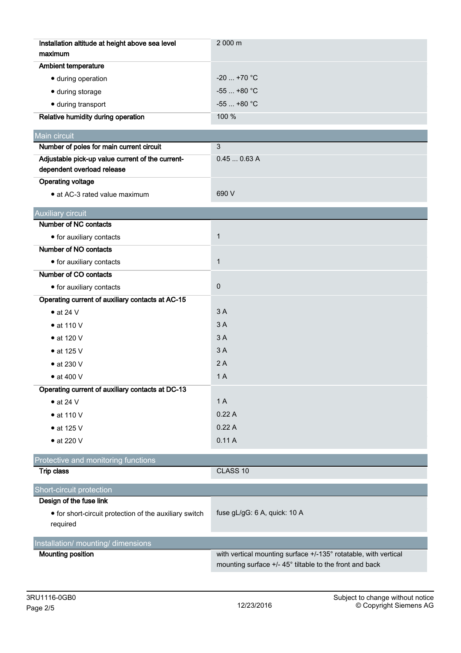| Installation altitude at height above sea level<br>maximum                     | 2 000 m                                                                                                                    |  |  |  |
|--------------------------------------------------------------------------------|----------------------------------------------------------------------------------------------------------------------------|--|--|--|
| <b>Ambient temperature</b>                                                     |                                                                                                                            |  |  |  |
| · during operation                                                             | $-20$ +70 °C                                                                                                               |  |  |  |
| · during storage                                                               | $-55$ +80 °C                                                                                                               |  |  |  |
| · during transport                                                             | $-55$ $+80$ °C                                                                                                             |  |  |  |
| Relative humidity during operation                                             | 100 %                                                                                                                      |  |  |  |
| Main circuit                                                                   |                                                                                                                            |  |  |  |
| Number of poles for main current circuit                                       | $\mathbf{3}$                                                                                                               |  |  |  |
| Adjustable pick-up value current of the current-<br>dependent overload release | 0.450.63A                                                                                                                  |  |  |  |
| <b>Operating voltage</b>                                                       |                                                                                                                            |  |  |  |
| • at AC-3 rated value maximum                                                  | 690 V                                                                                                                      |  |  |  |
| <b>Auxiliary circuit</b>                                                       |                                                                                                                            |  |  |  |
| Number of NC contacts                                                          |                                                                                                                            |  |  |  |
| • for auxiliary contacts                                                       | $\mathbf{1}$                                                                                                               |  |  |  |
| Number of NO contacts                                                          |                                                                                                                            |  |  |  |
| • for auxiliary contacts                                                       | $\mathbf{1}$                                                                                                               |  |  |  |
| Number of CO contacts                                                          |                                                                                                                            |  |  |  |
| • for auxiliary contacts                                                       | $\pmb{0}$                                                                                                                  |  |  |  |
| Operating current of auxiliary contacts at AC-15                               |                                                                                                                            |  |  |  |
| $\bullet$ at 24 V                                                              | 3A                                                                                                                         |  |  |  |
| $\bullet$ at 110 V                                                             | 3A                                                                                                                         |  |  |  |
| • at 120 V                                                                     | 3A                                                                                                                         |  |  |  |
| $\bullet$ at 125 V                                                             | 3A                                                                                                                         |  |  |  |
| $\bullet$ at 230 V                                                             | 2A                                                                                                                         |  |  |  |
| $\bullet$ at 400 V                                                             | 1A                                                                                                                         |  |  |  |
| Operating current of auxiliary contacts at DC-13                               |                                                                                                                            |  |  |  |
| $\bullet$ at 24 V                                                              | 1A                                                                                                                         |  |  |  |
| $\bullet$ at 110 V                                                             | 0.22A                                                                                                                      |  |  |  |
| • at 125 V                                                                     | 0.22A                                                                                                                      |  |  |  |
| • at 220 V                                                                     | 0.11A                                                                                                                      |  |  |  |
| Protective and monitoring functions                                            |                                                                                                                            |  |  |  |
| <b>Trip class</b>                                                              | CLASS 10                                                                                                                   |  |  |  |
| Short-circuit protection                                                       |                                                                                                                            |  |  |  |
| Design of the fuse link                                                        |                                                                                                                            |  |  |  |
| • for short-circuit protection of the auxiliary switch<br>required             | fuse gL/gG: 6 A, quick: 10 A                                                                                               |  |  |  |
| Installation/ mounting/ dimensions                                             |                                                                                                                            |  |  |  |
| <b>Mounting position</b>                                                       | with vertical mounting surface +/-135° rotatable, with vertical<br>mounting surface +/- 45° tiltable to the front and back |  |  |  |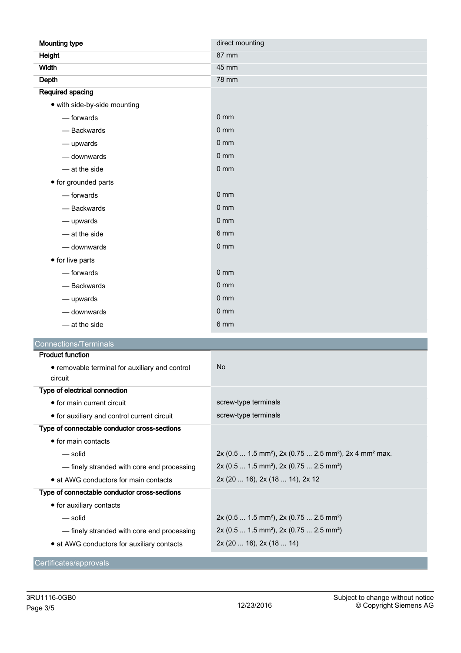| <b>Mounting type</b>                           | direct mounting                                                                            |  |  |  |
|------------------------------------------------|--------------------------------------------------------------------------------------------|--|--|--|
| Height                                         | 87 mm                                                                                      |  |  |  |
| <b>Width</b>                                   | 45 mm                                                                                      |  |  |  |
| Depth                                          | 78 mm                                                                                      |  |  |  |
| <b>Required spacing</b>                        |                                                                                            |  |  |  |
| • with side-by-side mounting                   |                                                                                            |  |  |  |
| - forwards                                     | 0 <sub>mm</sub>                                                                            |  |  |  |
| - Backwards                                    | 0 <sub>mm</sub>                                                                            |  |  |  |
| - upwards                                      | $0 \text{ mm}$                                                                             |  |  |  |
| - downwards                                    | 0 <sub>mm</sub>                                                                            |  |  |  |
| - at the side                                  | 0 <sub>mm</sub>                                                                            |  |  |  |
| • for grounded parts                           |                                                                                            |  |  |  |
| — forwards                                     | 0 <sub>mm</sub>                                                                            |  |  |  |
| - Backwards                                    | $0 \text{ mm}$                                                                             |  |  |  |
| - upwards                                      | 0 <sub>mm</sub>                                                                            |  |  |  |
| — at the side                                  | 6 mm                                                                                       |  |  |  |
| - downwards                                    | 0 <sub>mm</sub>                                                                            |  |  |  |
| • for live parts                               |                                                                                            |  |  |  |
| - forwards                                     | 0 <sub>mm</sub>                                                                            |  |  |  |
| - Backwards                                    | $0 \text{ mm}$                                                                             |  |  |  |
| — upwards                                      | $0 \text{ mm}$                                                                             |  |  |  |
| - downwards                                    | 0 <sub>mm</sub>                                                                            |  |  |  |
| - at the side                                  | 6 mm                                                                                       |  |  |  |
| <b>Connections/Terminals</b>                   |                                                                                            |  |  |  |
| <b>Product function</b>                        |                                                                                            |  |  |  |
| • removable terminal for auxiliary and control | <b>No</b>                                                                                  |  |  |  |
| circuit<br>Type of electrical connection       |                                                                                            |  |  |  |
| • for main current circuit                     | screw-type terminals                                                                       |  |  |  |
| • for auxiliary and control current circuit    | screw-type terminals                                                                       |  |  |  |
| Type of connectable conductor cross-sections   |                                                                                            |  |  |  |
| • for main contacts                            |                                                                                            |  |  |  |
| $-$ solid                                      | 2x (0.5  1.5 mm <sup>2</sup> ), 2x (0.75  2.5 mm <sup>2</sup> ), 2x 4 mm <sup>2</sup> max. |  |  |  |
| - finely stranded with core end processing     | 2x (0.5  1.5 mm <sup>2</sup> ), 2x (0.75  2.5 mm <sup>2</sup> )                            |  |  |  |
| • at AWG conductors for main contacts          | 2x (20  16), 2x (18  14), 2x 12                                                            |  |  |  |
| Type of connectable conductor cross-sections   |                                                                                            |  |  |  |
| • for auxiliary contacts                       |                                                                                            |  |  |  |
| — solid                                        | 2x (0.5  1.5 mm <sup>2</sup> ), 2x (0.75  2.5 mm <sup>2</sup> )                            |  |  |  |
| - finely stranded with core end processing     | 2x (0.5  1.5 mm <sup>2</sup> ), 2x (0.75  2.5 mm <sup>2</sup> )                            |  |  |  |
| • at AWG conductors for auxiliary contacts     | 2x (20  16), 2x (18  14)                                                                   |  |  |  |
| Certificates/approvals                         |                                                                                            |  |  |  |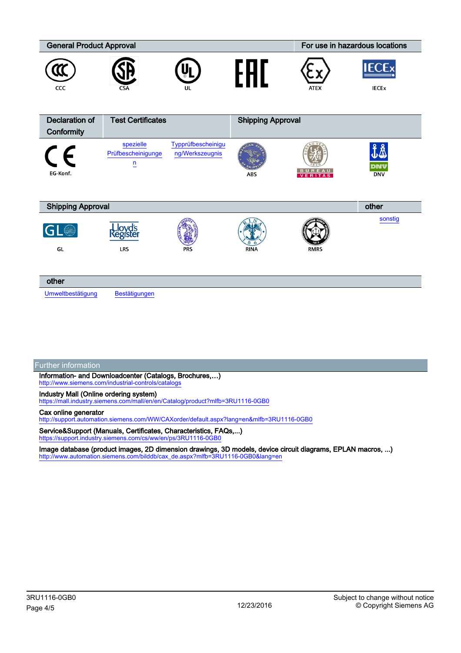| <b>General Product Approval</b> |                                                   |                                       |                          | For use in hazardous locations |                              |
|---------------------------------|---------------------------------------------------|---------------------------------------|--------------------------|--------------------------------|------------------------------|
| CCC                             | CSA                                               | UL                                    |                          | <b>ATEX</b>                    | <b>IECEx</b><br><b>IECEX</b> |
| <b>Declaration of</b>           | <b>Test Certificates</b>                          |                                       | <b>Shipping Approval</b> |                                |                              |
| Conformity                      |                                                   |                                       |                          |                                |                              |
| $\epsilon$<br>EG-Konf.          | spezielle<br>Prüfbescheinigunge<br>$\overline{u}$ | Typprüfbescheinigu<br>ng/Werkszeugnis | ABS                      | <b>BUREAU</b>                  | ₫Å<br>dnv<br><b>DNV</b>      |
| <b>Shipping Approval</b>        |                                                   |                                       |                          |                                | other                        |
| GL®<br>GL                       | <b>Lloyd's</b><br>Register<br>LRS                 | <b>PRS</b>                            | <b>RINA</b>              | <b>RMRS</b>                    | sonstig                      |
| other                           |                                                   |                                       |                          |                                |                              |
| Umweltbestätigung               | Bestätigungen                                     |                                       |                          |                                |                              |

Further information

Information- and Downloadcenter (Catalogs, Brochures,…) <http://www.siemens.com/industrial-controls/catalogs>

Industry Mall (Online ordering system)

<https://mall.industry.siemens.com/mall/en/en/Catalog/product?mlfb=3RU1116-0GB0>

## Cax online generator

<http://support.automation.siemens.com/WW/CAXorder/default.aspx?lang=en&mlfb=3RU1116-0GB0>

Service&Support (Manuals, Certificates, Characteristics, FAQs,...) <https://support.industry.siemens.com/cs/ww/en/ps/3RU1116-0GB0>

Image database (product images, 2D dimension drawings, 3D models, device circuit diagrams, EPLAN macros, ...) [http://www.automation.siemens.com/bilddb/cax\\_de.aspx?mlfb=3RU1116-0GB0&lang=en](http://www.automation.siemens.com/bilddb/cax_de.aspx?mlfb=3RU1116-0GB0&lang=en)